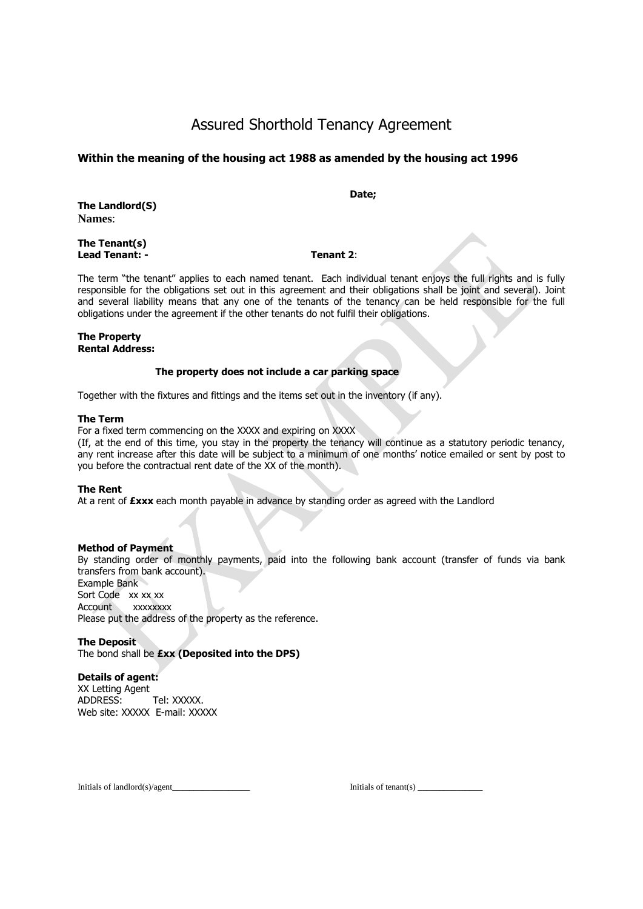# Assured Shorthold Tenancy Agreement

## **Within the meaning of the housing act 1988 as amended by the housing act 1996**

**The Landlord(S) Names**:

**The Tenant(s) Lead Tenant: - Tenant 2**:

**Date;**

The term "the tenant" applies to each named tenant. Each individual tenant enjoys the full rights and is fully responsible for the obligations set out in this agreement and their obligations shall be joint and several). Joint and several liability means that any one of the tenants of the tenancy can be held responsible for the full obligations under the agreement if the other tenants do not fulfil their obligations.

#### **The Property Rental Address:**

#### **The property does not include a car parking space**

Together with the fixtures and fittings and the items set out in the inventory (if any).

#### **The Term**

For a fixed term commencing on the XXXX and expiring on XXXX

(If, at the end of this time, you stay in the property the tenancy will continue as a statutory periodic tenancy, any rent increase after this date will be subject to a minimum of one months' notice emailed or sent by post to you before the contractual rent date of the XX of the month).

#### **The Rent**

At a rent of **£xxx** each month payable in advance by standing order as agreed with the Landlord

#### **Method of Payment**

By standing order of monthly payments, paid into the following bank account (transfer of funds via bank transfers from bank account). Example Bank Sort Code xx xx xx Account xxxxxxxx Please put the address of the property as the reference.

#### **The Deposit**

The bond shall be **£xx (Deposited into the DPS)** 

## **Details of agent:**

XX Letting Agent ADDRESS: Tel: XXXXX. Web site: XXXXX E-mail: XXXXX

Initials of landlord(s)/agent and the set of tenant(s)  $\frac{1}{2}$  initials of tenant(s)  $\frac{1}{2}$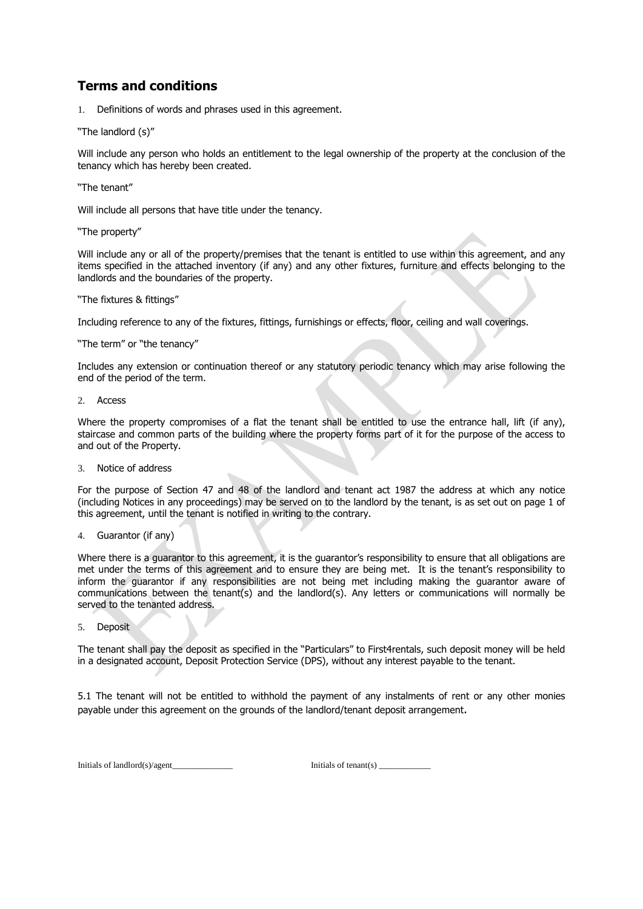## **Terms and conditions**

1. Definitions of words and phrases used in this agreement.

#### "The landlord (s)"

Will include any person who holds an entitlement to the legal ownership of the property at the conclusion of the tenancy which has hereby been created.

"The tenant"

Will include all persons that have title under the tenancy.

"The property"

Will include any or all of the property/premises that the tenant is entitled to use within this agreement, and any items specified in the attached inventory (if any) and any other fixtures, furniture and effects belonging to the landlords and the boundaries of the property.

"The fixtures & fittings"

Including reference to any of the fixtures, fittings, furnishings or effects, floor, ceiling and wall coverings.

#### "The term" or "the tenancy"

Includes any extension or continuation thereof or any statutory periodic tenancy which may arise following the end of the period of the term.

2. Access

Where the property compromises of a flat the tenant shall be entitled to use the entrance hall, lift (if any), staircase and common parts of the building where the property forms part of it for the purpose of the access to and out of the Property.

3. Notice of address

For the purpose of Section 47 and 48 of the landlord and tenant act 1987 the address at which any notice (including Notices in any proceedings) may be served on to the landlord by the tenant, is as set out on page 1 of this agreement, until the tenant is notified in writing to the contrary.

4. Guarantor (if any)

Where there is a guarantor to this agreement, it is the guarantor's responsibility to ensure that all obligations are met under the terms of this agreement and to ensure they are being met. It is the tenant's responsibility to inform the guarantor if any responsibilities are not being met including making the guarantor aware of communications between the tenant(s) and the landlord(s). Any letters or communications will normally be served to the tenanted address.

5. Deposit

The tenant shall pay the deposit as specified in the "Particulars" to First4rentals, such deposit money will be held in a designated account, Deposit Protection Service (DPS), without any interest payable to the tenant.

5.1 The tenant will not be entitled to withhold the payment of any instalments of rent or any other monies payable under this agreement on the grounds of the landlord/tenant deposit arrangement.

Initials of landlord(s)/agent\_\_\_\_\_\_\_\_\_\_\_\_\_\_\_\_\_\_\_\_\_\_\_\_\_\_ Initials of tenant(s) \_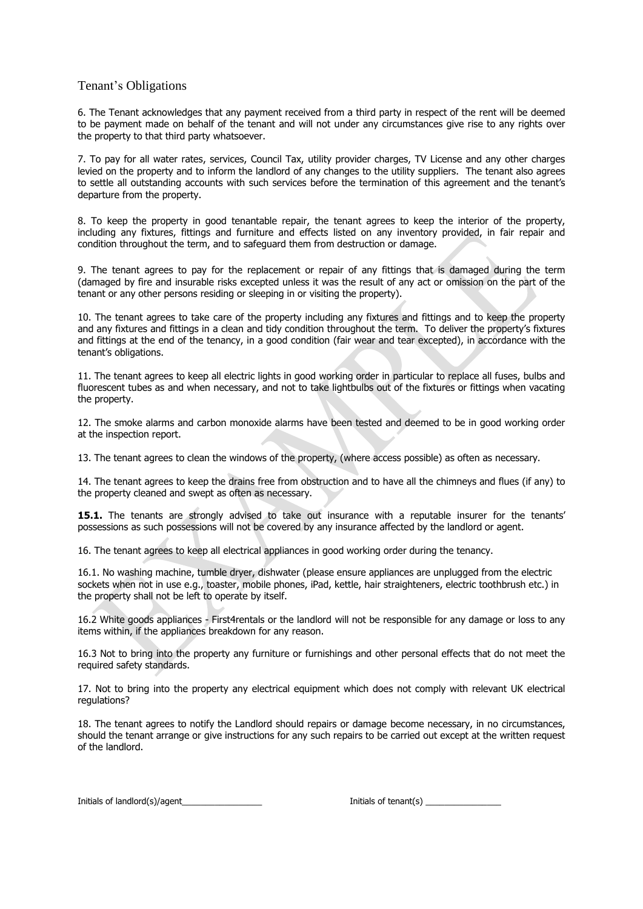## Tenant's Obligations

6. The Tenant acknowledges that any payment received from a third party in respect of the rent will be deemed to be payment made on behalf of the tenant and will not under any circumstances give rise to any rights over the property to that third party whatsoever.

7. To pay for all water rates, services, Council Tax, utility provider charges, TV License and any other charges levied on the property and to inform the landlord of any changes to the utility suppliers. The tenant also agrees to settle all outstanding accounts with such services before the termination of this agreement and the tenant's departure from the property.

8. To keep the property in good tenantable repair, the tenant agrees to keep the interior of the property, including any fixtures, fittings and furniture and effects listed on any inventory provided, in fair repair and condition throughout the term, and to safeguard them from destruction or damage.

9. The tenant agrees to pay for the replacement or repair of any fittings that is damaged during the term (damaged by fire and insurable risks excepted unless it was the result of any act or omission on the part of the tenant or any other persons residing or sleeping in or visiting the property).

10. The tenant agrees to take care of the property including any fixtures and fittings and to keep the property and any fixtures and fittings in a clean and tidy condition throughout the term. To deliver the property's fixtures and fittings at the end of the tenancy, in a good condition (fair wear and tear excepted), in accordance with the tenant's obligations.

11. The tenant agrees to keep all electric lights in good working order in particular to replace all fuses, bulbs and fluorescent tubes as and when necessary, and not to take lightbulbs out of the fixtures or fittings when vacating the property.

12. The smoke alarms and carbon monoxide alarms have been tested and deemed to be in good working order at the inspection report.

13. The tenant agrees to clean the windows of the property, (where access possible) as often as necessary.

14. The tenant agrees to keep the drains free from obstruction and to have all the chimneys and flues (if any) to the property cleaned and swept as often as necessary.

**15.1.** The tenants are strongly advised to take out insurance with a reputable insurer for the tenants' possessions as such possessions will not be covered by any insurance affected by the landlord or agent.

16. The tenant agrees to keep all electrical appliances in good working order during the tenancy.

16.1. No washing machine, tumble dryer, dishwater (please ensure appliances are unplugged from the electric sockets when not in use e.g., toaster, mobile phones, iPad, kettle, hair straighteners, electric toothbrush etc.) in the property shall not be left to operate by itself.

16.2 White goods appliances - First4rentals or the landlord will not be responsible for any damage or loss to any items within, if the appliances breakdown for any reason.

16.3 Not to bring into the property any furniture or furnishings and other personal effects that do not meet the required safety standards.

17. Not to bring into the property any electrical equipment which does not comply with relevant UK electrical regulations?

18. The tenant agrees to notify the Landlord should repairs or damage become necessary, in no circumstances, should the tenant arrange or give instructions for any such repairs to be carried out except at the written request of the landlord.

Initials of landlord(s)/agent density and the set of tenant(s) and initials of tenant(s) and  $\overline{a}$  and  $\overline{b}$  and  $\overline{c}$  and  $\overline{a}$  and  $\overline{b}$  and  $\overline{a}$  and  $\overline{a}$  and  $\overline{a}$  and  $\overline{a}$  and  $\overline{a}$  and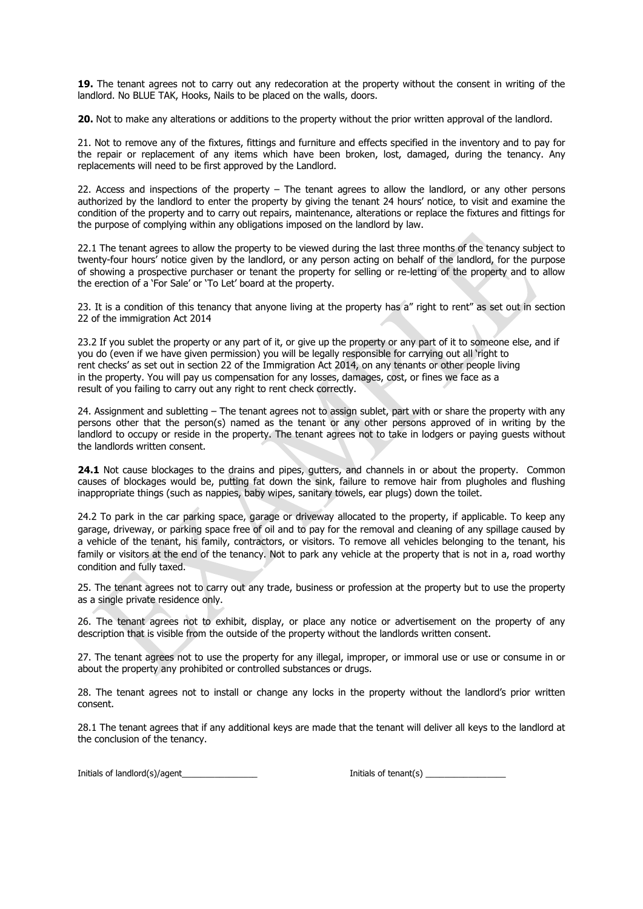**19.** The tenant agrees not to carry out any redecoration at the property without the consent in writing of the landlord. No BLUE TAK, Hooks, Nails to be placed on the walls, doors.

**20.** Not to make any alterations or additions to the property without the prior written approval of the landlord.

21. Not to remove any of the fixtures, fittings and furniture and effects specified in the inventory and to pay for the repair or replacement of any items which have been broken, lost, damaged, during the tenancy. Any replacements will need to be first approved by the Landlord.

22. Access and inspections of the property – The tenant agrees to allow the landlord, or any other persons authorized by the landlord to enter the property by giving the tenant 24 hours' notice, to visit and examine the condition of the property and to carry out repairs, maintenance, alterations or replace the fixtures and fittings for the purpose of complying within any obligations imposed on the landlord by law.

22.1 The tenant agrees to allow the property to be viewed during the last three months of the tenancy subject to twenty-four hours' notice given by the landlord, or any person acting on behalf of the landlord, for the purpose of showing a prospective purchaser or tenant the property for selling or re-letting of the property and to allow the erection of a 'For Sale' or 'To Let' board at the property.

23. It is a condition of this tenancy that anyone living at the property has a" right to rent" as set out in section 22 of the immigration Act 2014

23.2 If you sublet the property or any part of it, or give up the property or any part of it to someone else, and if you do (even if we have given permission) you will be legally responsible for carrying out all 'right to rent checks' as set out in section 22 of the Immigration Act 2014, on any tenants or other people living in the property. You will pay us compensation for any losses, damages, cost, or fines we face as a result of you failing to carry out any right to rent check correctly.

24. Assignment and subletting – The tenant agrees not to assign sublet, part with or share the property with any persons other that the person(s) named as the tenant or any other persons approved of in writing by the landlord to occupy or reside in the property. The tenant agrees not to take in lodgers or paying guests without the landlords written consent.

24.1 Not cause blockages to the drains and pipes, gutters, and channels in or about the property. Common causes of blockages would be, putting fat down the sink, failure to remove hair from plugholes and flushing inappropriate things (such as nappies, baby wipes, sanitary towels, ear plugs) down the toilet.

24.2 To park in the car parking space, garage or driveway allocated to the property, if applicable. To keep any garage, driveway, or parking space free of oil and to pay for the removal and cleaning of any spillage caused by a vehicle of the tenant, his family, contractors, or visitors. To remove all vehicles belonging to the tenant, his family or visitors at the end of the tenancy. Not to park any vehicle at the property that is not in a, road worthy condition and fully taxed.

25. The tenant agrees not to carry out any trade, business or profession at the property but to use the property as a single private residence only.

26. The tenant agrees not to exhibit, display, or place any notice or advertisement on the property of any description that is visible from the outside of the property without the landlords written consent.

27. The tenant agrees not to use the property for any illegal, improper, or immoral use or use or consume in or about the property any prohibited or controlled substances or drugs.

28. The tenant agrees not to install or change any locks in the property without the landlord's prior written consent.

28.1 The tenant agrees that if any additional keys are made that the tenant will deliver all keys to the landlord at the conclusion of the tenancy.

Initials of landlord(s)/agent density and the set of tenant(s) and initials of tenant(s)  $\frac{1}{2}$  and  $\frac{1}{2}$  and  $\frac{1}{2}$  and  $\frac{1}{2}$  and  $\frac{1}{2}$  and  $\frac{1}{2}$  and  $\frac{1}{2}$  and  $\frac{1}{2}$  and  $\frac{1}{2}$  and  $\frac{1}{2$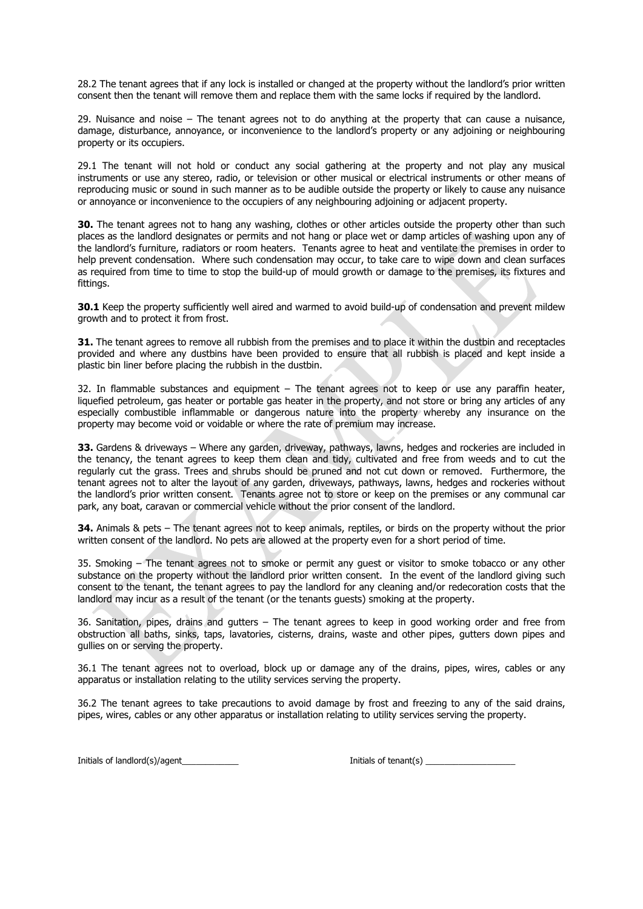28.2 The tenant agrees that if any lock is installed or changed at the property without the landlord's prior written consent then the tenant will remove them and replace them with the same locks if required by the landlord.

29. Nuisance and noise – The tenant agrees not to do anything at the property that can cause a nuisance, damage, disturbance, annoyance, or inconvenience to the landlord's property or any adjoining or neighbouring property or its occupiers.

29.1 The tenant will not hold or conduct any social gathering at the property and not play any musical instruments or use any stereo, radio, or television or other musical or electrical instruments or other means of reproducing music or sound in such manner as to be audible outside the property or likely to cause any nuisance or annoyance or inconvenience to the occupiers of any neighbouring adjoining or adjacent property.

**30.** The tenant agrees not to hang any washing, clothes or other articles outside the property other than such places as the landlord designates or permits and not hang or place wet or damp articles of washing upon any of the landlord's furniture, radiators or room heaters. Tenants agree to heat and ventilate the premises in order to help prevent condensation. Where such condensation may occur, to take care to wipe down and clean surfaces as required from time to time to stop the build-up of mould growth or damage to the premises, its fixtures and fittings.

**30.1** Keep the property sufficiently well aired and warmed to avoid build-up of condensation and prevent mildew growth and to protect it from frost.

**31.** The tenant agrees to remove all rubbish from the premises and to place it within the dustbin and receptacles provided and where any dustbins have been provided to ensure that all rubbish is placed and kept inside a plastic bin liner before placing the rubbish in the dustbin.

32. In flammable substances and equipment – The tenant agrees not to keep or use any paraffin heater, liquefied petroleum, gas heater or portable gas heater in the property, and not store or bring any articles of any especially combustible inflammable or dangerous nature into the property whereby any insurance on the property may become void or voidable or where the rate of premium may increase.

**33.** Gardens & driveways – Where any garden, driveway, pathways, lawns, hedges and rockeries are included in the tenancy, the tenant agrees to keep them clean and tidy, cultivated and free from weeds and to cut the regularly cut the grass. Trees and shrubs should be pruned and not cut down or removed. Furthermore, the tenant agrees not to alter the layout of any garden, driveways, pathways, lawns, hedges and rockeries without the landlord's prior written consent. Tenants agree not to store or keep on the premises or any communal car park, any boat, caravan or commercial vehicle without the prior consent of the landlord.

**34.** Animals & pets – The tenant agrees not to keep animals, reptiles, or birds on the property without the prior written consent of the landlord. No pets are allowed at the property even for a short period of time.

35. Smoking – The tenant agrees not to smoke or permit any guest or visitor to smoke tobacco or any other substance on the property without the landlord prior written consent. In the event of the landlord giving such consent to the tenant, the tenant agrees to pay the landlord for any cleaning and/or redecoration costs that the landlord may incur as a result of the tenant (or the tenants guests) smoking at the property.

36. Sanitation, pipes, drains and gutters – The tenant agrees to keep in good working order and free from obstruction all baths, sinks, taps, lavatories, cisterns, drains, waste and other pipes, gutters down pipes and gullies on or serving the property.

36.1 The tenant agrees not to overload, block up or damage any of the drains, pipes, wires, cables or any apparatus or installation relating to the utility services serving the property.

36.2 The tenant agrees to take precautions to avoid damage by frost and freezing to any of the said drains, pipes, wires, cables or any other apparatus or installation relating to utility services serving the property.

Initials of landlord(s)/agent and the set of tenant initials of tenant(s)  $\frac{1}{2}$  and  $\frac{1}{2}$  and  $\frac{1}{2}$  and  $\frac{1}{2}$  and  $\frac{1}{2}$  and  $\frac{1}{2}$  and  $\frac{1}{2}$  and  $\frac{1}{2}$  and  $\frac{1}{2}$  and  $\frac{1}{2}$  and  $\frac{1}{2}$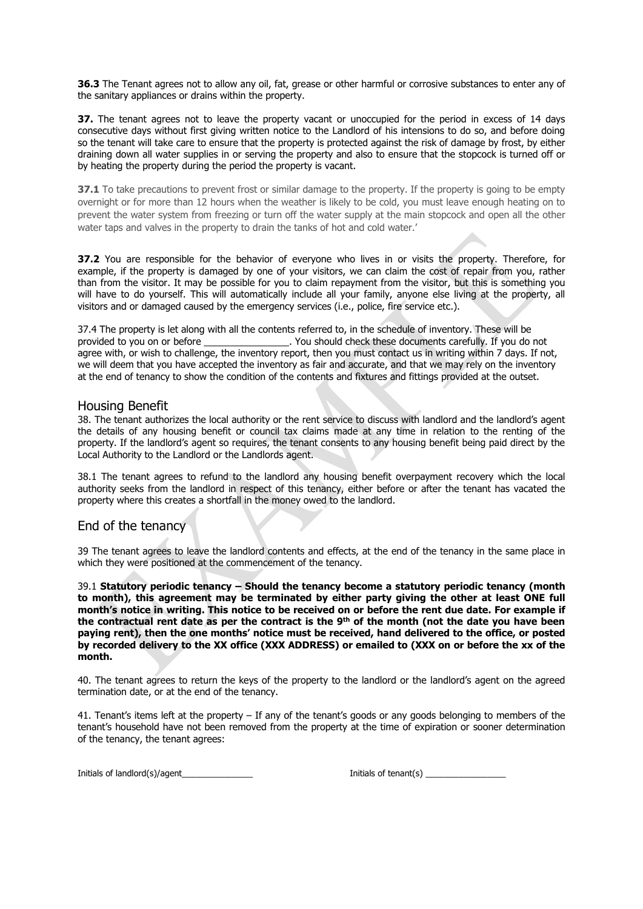**36.3** The Tenant agrees not to allow any oil, fat, grease or other harmful or corrosive substances to enter any of the sanitary appliances or drains within the property.

**37.** The tenant agrees not to leave the property vacant or unoccupied for the period in excess of 14 days consecutive days without first giving written notice to the Landlord of his intensions to do so, and before doing so the tenant will take care to ensure that the property is protected against the risk of damage by frost, by either draining down all water supplies in or serving the property and also to ensure that the stopcock is turned off or by heating the property during the period the property is vacant.

**37.1** To take precautions to prevent frost or similar damage to the property. If the property is going to be empty overnight or for more than 12 hours when the weather is likely to be cold, you must leave enough heating on to prevent the water system from freezing or turn off the water supply at the main stopcock and open all the other water taps and valves in the property to drain the tanks of hot and cold water.'

**37.2** You are responsible for the behavior of everyone who lives in or visits the property. Therefore, for example, if the property is damaged by one of your visitors, we can claim the cost of repair from you, rather than from the visitor. It may be possible for you to claim repayment from the visitor, but this is something you will have to do yourself. This will automatically include all your family, anyone else living at the property, all visitors and or damaged caused by the emergency services (i.e., police, fire service etc.).

37.4 The property is let along with all the contents referred to, in the schedule of inventory. These will be provided to you on or before \_\_\_\_\_\_\_\_\_\_\_\_\_\_\_\_\_. You should check these documents carefully. If you do not agree with, or wish to challenge, the inventory report, then you must contact us in writing within 7 days. If not, we will deem that you have accepted the inventory as fair and accurate, and that we may rely on the inventory at the end of tenancy to show the condition of the contents and fixtures and fittings provided at the outset.

## Housing Benefit

38. The tenant authorizes the local authority or the rent service to discuss with landlord and the landlord's agent the details of any housing benefit or council tax claims made at any time in relation to the renting of the property. If the landlord's agent so requires, the tenant consents to any housing benefit being paid direct by the Local Authority to the Landlord or the Landlords agent.

38.1 The tenant agrees to refund to the landlord any housing benefit overpayment recovery which the local authority seeks from the landlord in respect of this tenancy, either before or after the tenant has vacated the property where this creates a shortfall in the money owed to the landlord.

## End of the tenancy

39 The tenant agrees to leave the landlord contents and effects, at the end of the tenancy in the same place in which they were positioned at the commencement of the tenancy.

39.1 **Statutory periodic tenancy – Should the tenancy become a statutory periodic tenancy (month to month), this agreement may be terminated by either party giving the other at least ONE full month's notice in writing. This notice to be received on or before the rent due date. For example if the contractual rent date as per the contract is the 9 th of the month (not the date you have been paying rent), then the one months' notice must be received, hand delivered to the office, or posted by recorded delivery to the XX office (XXX ADDRESS) or emailed to (XXX on or before the xx of the month.** 

40. The tenant agrees to return the keys of the property to the landlord or the landlord's agent on the agreed termination date, or at the end of the tenancy.

41. Tenant's items left at the property – If any of the tenant's goods or any goods belonging to members of the tenant's household have not been removed from the property at the time of expiration or sooner determination of the tenancy, the tenant agrees:

Initials of landlord(s)/agent and the set of tenant initials of tenant(s)  $\frac{1}{2}$  and  $\frac{1}{2}$  and  $\frac{1}{2}$  and  $\frac{1}{2}$  and  $\frac{1}{2}$  and  $\frac{1}{2}$  and  $\frac{1}{2}$  and  $\frac{1}{2}$  and  $\frac{1}{2}$  and  $\frac{1}{2}$  and  $\frac{1}{2}$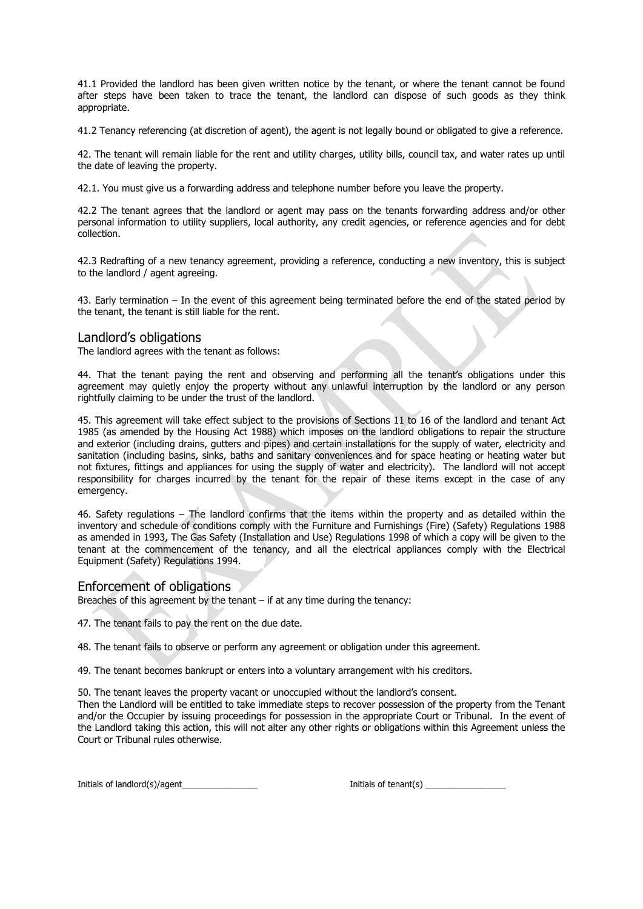41.1 Provided the landlord has been given written notice by the tenant, or where the tenant cannot be found after steps have been taken to trace the tenant, the landlord can dispose of such goods as they think appropriate.

41.2 Tenancy referencing (at discretion of agent), the agent is not legally bound or obligated to give a reference.

42. The tenant will remain liable for the rent and utility charges, utility bills, council tax, and water rates up until the date of leaving the property.

42.1. You must give us a forwarding address and telephone number before you leave the property.

42.2 The tenant agrees that the landlord or agent may pass on the tenants forwarding address and/or other personal information to utility suppliers, local authority, any credit agencies, or reference agencies and for debt collection.

42.3 Redrafting of a new tenancy agreement, providing a reference, conducting a new inventory, this is subject to the landlord / agent agreeing.

43. Early termination – In the event of this agreement being terminated before the end of the stated period by the tenant, the tenant is still liable for the rent.

## Landlord's obligations

The landlord agrees with the tenant as follows:

44. That the tenant paying the rent and observing and performing all the tenant's obligations under this agreement may quietly enjoy the property without any unlawful interruption by the landlord or any person rightfully claiming to be under the trust of the landlord.

45. This agreement will take effect subject to the provisions of Sections 11 to 16 of the landlord and tenant Act 1985 (as amended by the Housing Act 1988) which imposes on the landlord obligations to repair the structure and exterior (including drains, gutters and pipes) and certain installations for the supply of water, electricity and sanitation (including basins, sinks, baths and sanitary conveniences and for space heating or heating water but not fixtures, fittings and appliances for using the supply of water and electricity). The landlord will not accept responsibility for charges incurred by the tenant for the repair of these items except in the case of any emergency.

46. Safety regulations – The landlord confirms that the items within the property and as detailed within the inventory and schedule of conditions comply with the Furniture and Furnishings (Fire) (Safety) Regulations 1988 as amended in 1993, The Gas Safety (Installation and Use) Regulations 1998 of which a copy will be given to the tenant at the commencement of the tenancy, and all the electrical appliances comply with the Electrical Equipment (Safety) Regulations 1994.

#### Enforcement of obligations

Breaches of this agreement by the tenant – if at any time during the tenancy:

47. The tenant fails to pay the rent on the due date.

48. The tenant fails to observe or perform any agreement or obligation under this agreement.

49. The tenant becomes bankrupt or enters into a voluntary arrangement with his creditors.

50. The tenant leaves the property vacant or unoccupied without the landlord's consent.

Then the Landlord will be entitled to take immediate steps to recover possession of the property from the Tenant and/or the Occupier by issuing proceedings for possession in the appropriate Court or Tribunal. In the event of the Landlord taking this action, this will not alter any other rights or obligations within this Agreement unless the Court or Tribunal rules otherwise.

Initials of landlord(s)/agent\_\_\_\_\_\_\_\_\_\_\_\_\_\_\_\_ Initials of tenant(s) \_\_\_\_\_\_\_\_\_\_\_\_\_\_\_\_\_